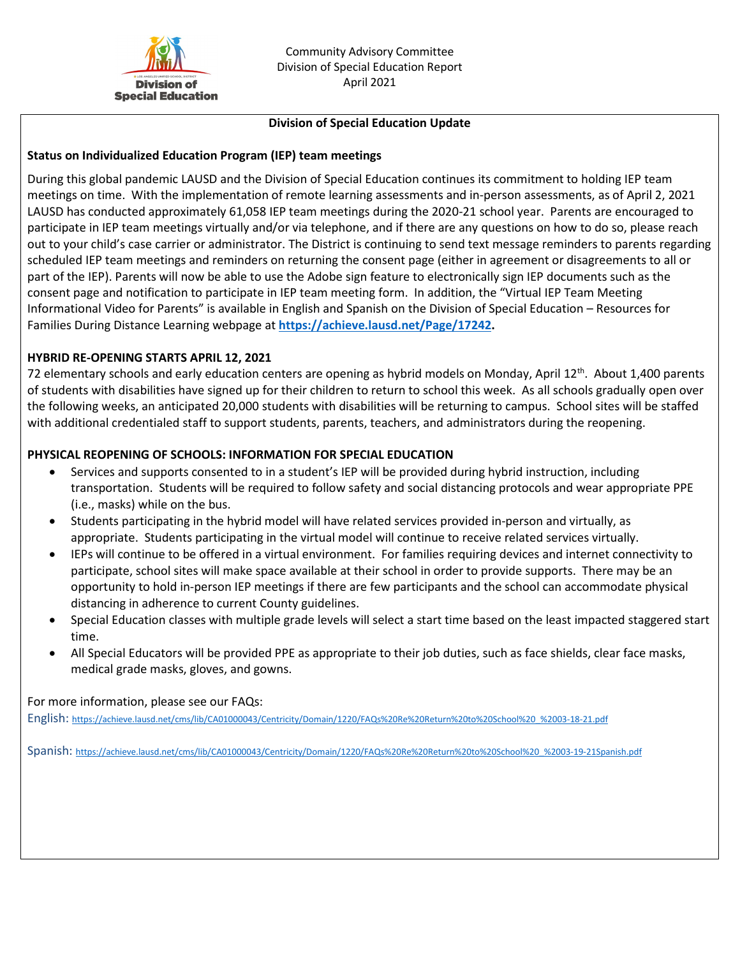

#### **Division of Special Education Update**

## **Status on Individualized Education Program (IEP) team meetings**

During this global pandemic LAUSD and the Division of Special Education continues its commitment to holding IEP team meetings on time. With the implementation of remote learning assessments and in-person assessments, as of April 2, 2021 LAUSD has conducted approximately 61,058 IEP team meetings during the 2020-21 school year. Parents are encouraged to participate in IEP team meetings virtually and/or via telephone, and if there are any questions on how to do so, please reach out to your child's case carrier or administrator. The District is continuing to send text message reminders to parents regarding scheduled IEP team meetings and reminders on returning the consent page (either in agreement or disagreements to all or part of the IEP). Parents will now be able to use the Adobe sign feature to electronically sign IEP documents such as the consent page and notification to participate in IEP team meeting form. In addition, the "Virtual IEP Team Meeting Informational Video for Parents" is available in English and Spanish on the Division of Special Education – Resources for Families During Distance Learning webpage at **[https://achieve.lausd.net/Page/17242.](https://achieve.lausd.net/Page/17242)** 

### **HYBRID RE-OPENING STARTS APRIL 12, 2021**

72 elementary schools and early education centers are opening as hybrid models on Monday, April  $12^{th}$ . About 1,400 parents of students with disabilities have signed up for their children to return to school this week. As all schools gradually open over the following weeks, an anticipated 20,000 students with disabilities will be returning to campus. School sites will be staffed with additional credentialed staff to support students, parents, teachers, and administrators during the reopening.

### **PHYSICAL REOPENING OF SCHOOLS: INFORMATION FOR SPECIAL EDUCATION**

- Services and supports consented to in a student's IEP will be provided during hybrid instruction, including transportation. Students will be required to follow safety and social distancing protocols and wear appropriate PPE (i.e., masks) while on the bus.
- Students participating in the hybrid model will have related services provided in-person and virtually, as appropriate. Students participating in the virtual model will continue to receive related services virtually.
- IEPs will continue to be offered in a virtual environment. For families requiring devices and internet connectivity to participate, school sites will make space available at their school in order to provide supports. There may be an opportunity to hold in-person IEP meetings if there are few participants and the school can accommodate physical distancing in adherence to current County guidelines.
- Special Education classes with multiple grade levels will select a start time based on the least impacted staggered start time.
- All Special Educators will be provided PPE as appropriate to their job duties, such as face shields, clear face masks, medical grade masks, gloves, and gowns.

For more information, please see our FAQs:

English: [https://achieve.lausd.net/cms/lib/CA01000043/Centricity/Domain/1220/FAQs%20Re%20Return%20to%20School%20\\_%2003-18-21.pdf](https://achieve.lausd.net/cms/lib/CA01000043/Centricity/Domain/1220/FAQs%20Re%20Return%20to%20School%20_%2003-18-21.pdf)

Spanish: [https://achieve.lausd.net/cms/lib/CA01000043/Centricity/Domain/1220/FAQs%20Re%20Return%20to%20School%20\\_%2003-19-21Spanish.pdf](https://achieve.lausd.net/cms/lib/CA01000043/Centricity/Domain/1220/FAQs%20Re%20Return%20to%20School%20_%2003-19-21Spanish.pdf)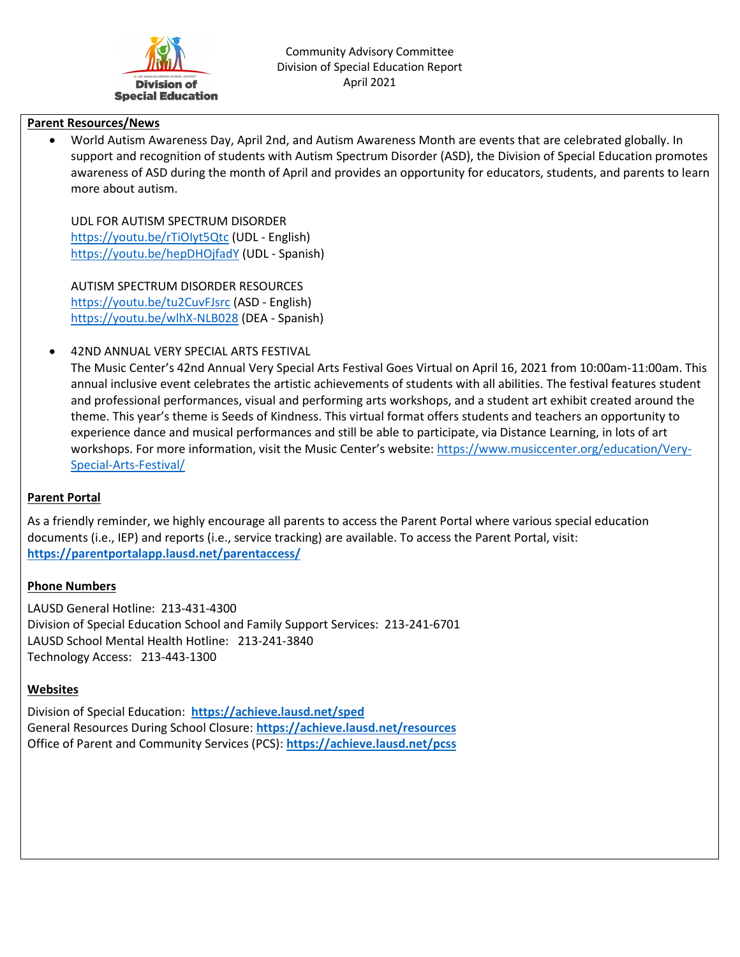

#### **Parent Resources/News**

• World Autism Awareness Day, April 2nd, and Autism Awareness Month are events that are celebrated globally. In support and recognition of students with Autism Spectrum Disorder (ASD), the Division of Special Education promotes awareness of ASD during the month of April and provides an opportunity for educators, students, and parents to learn more about autism.

UDL FOR AUTISM SPECTRUM DISORDER <https://youtu.be/rTiOIyt5Qtc> (UDL - English) <https://youtu.be/hepDHOjfadY> (UDL - Spanish)

AUTISM SPECTRUM DISORDER RESOURCES <https://youtu.be/tu2CuvFJsrc> (ASD - English) <https://youtu.be/wlhX-NLB028> (DEA - Spanish)

• 42ND ANNUAL VERY SPECIAL ARTS FESTIVAL

The Music Center's 42nd Annual Very Special Arts Festival Goes Virtual on April 16, 2021 from 10:00am-11:00am. This annual inclusive event celebrates the artistic achievements of students with all abilities. The festival features student and professional performances, visual and performing arts workshops, and a student art exhibit created around the theme. This year's theme is Seeds of Kindness. This virtual format offers students and teachers an opportunity to experience dance and musical performances and still be able to participate, via Distance Learning, in lots of art workshops. For more information, visit the Music Center's website[: https://www.musiccenter.org/education/Very-](https://www.musiccenter.org/education/Very-Special-Arts-Festival/)[Special-Arts-Festival/](https://www.musiccenter.org/education/Very-Special-Arts-Festival/)

# **Parent Portal**

As a friendly reminder, we highly encourage all parents to access the Parent Portal where various special education documents (i.e., IEP) and reports (i.e., service tracking) are available. To access the Parent Portal, visit: **<https://parentportalapp.lausd.net/parentaccess/>**

# **Phone Numbers**

LAUSD General Hotline: 213-431-4300 Division of Special Education School and Family Support Services: 213-241-6701 LAUSD School Mental Health Hotline: 213-241-3840 Technology Access: 213-443-1300

# **Websites**

Division of Special Education: **<https://achieve.lausd.net/sped>** General Resources During School Closure: **<https://achieve.lausd.net/resources>** Office of Parent and Community Services (PCS): **<https://achieve.lausd.net/pcss>**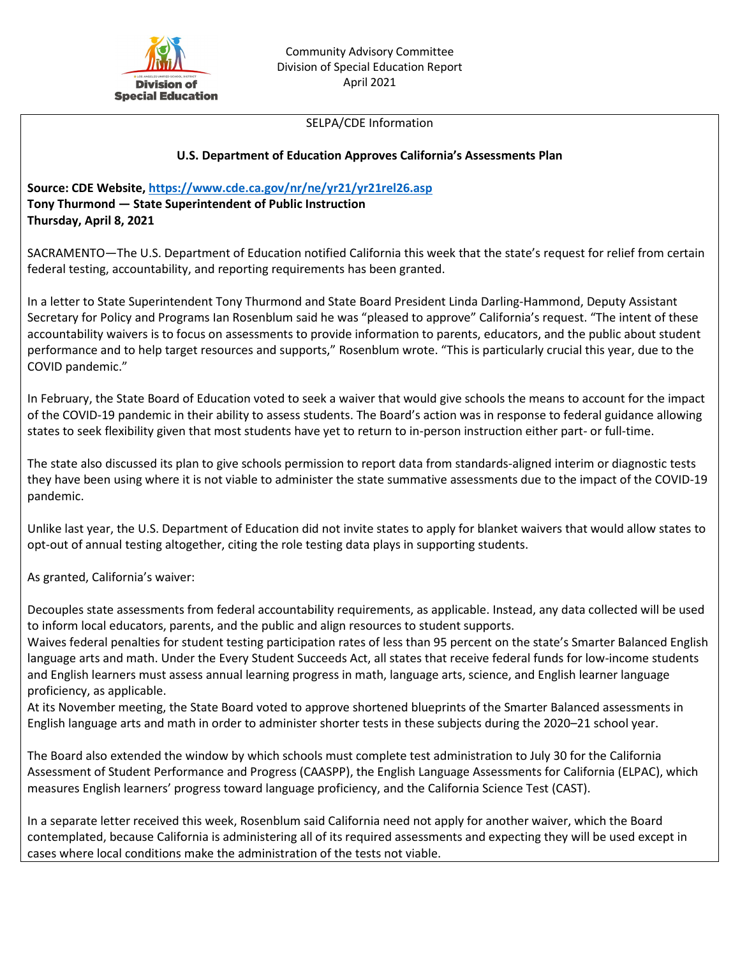

#### SELPA/CDE Information

## **U.S. Department of Education Approves California's Assessments Plan**

**Source: CDE Website,<https://www.cde.ca.gov/nr/ne/yr21/yr21rel26.asp> Tony Thurmond — State Superintendent of Public Instruction Thursday, April 8, 2021**

SACRAMENTO—The U.S. Department of Education notified California this week that the state's request for relief from certain federal testing, accountability, and reporting requirements has been granted.

In a letter to State Superintendent Tony Thurmond and State Board President Linda Darling-Hammond, Deputy Assistant Secretary for Policy and Programs Ian Rosenblum said he was "pleased to approve" California's request. "The intent of these accountability waivers is to focus on assessments to provide information to parents, educators, and the public about student performance and to help target resources and supports," Rosenblum wrote. "This is particularly crucial this year, due to the COVID pandemic."

In February, the State Board of Education voted to seek a waiver that would give schools the means to account for the impact of the COVID-19 pandemic in their ability to assess students. The Board's action was in response to federal guidance allowing states to seek flexibility given that most students have yet to return to in-person instruction either part- or full-time.

The state also discussed its plan to give schools permission to report data from standards-aligned interim or diagnostic tests they have been using where it is not viable to administer the state summative assessments due to the impact of the COVID-19 pandemic.

Unlike last year, the U.S. Department of Education did not invite states to apply for blanket waivers that would allow states to opt-out of annual testing altogether, citing the role testing data plays in supporting students.

As granted, California's waiver:

Decouples state assessments from federal accountability requirements, as applicable. Instead, any data collected will be used to inform local educators, parents, and the public and align resources to student supports.

Waives federal penalties for student testing participation rates of less than 95 percent on the state's Smarter Balanced English language arts and math. Under the Every Student Succeeds Act, all states that receive federal funds for low-income students and English learners must assess annual learning progress in math, language arts, science, and English learner language proficiency, as applicable.

At its November meeting, the State Board voted to approve shortened blueprints of the Smarter Balanced assessments in English language arts and math in order to administer shorter tests in these subjects during the 2020–21 school year.

The Board also extended the window by which schools must complete test administration to July 30 for the California Assessment of Student Performance and Progress (CAASPP), the English Language Assessments for California (ELPAC), which measures English learners' progress toward language proficiency, and the California Science Test (CAST).

In a separate letter received this week, Rosenblum said California need not apply for another waiver, which the Board contemplated, because California is administering all of its required assessments and expecting they will be used except in cases where local conditions make the administration of the tests not viable.